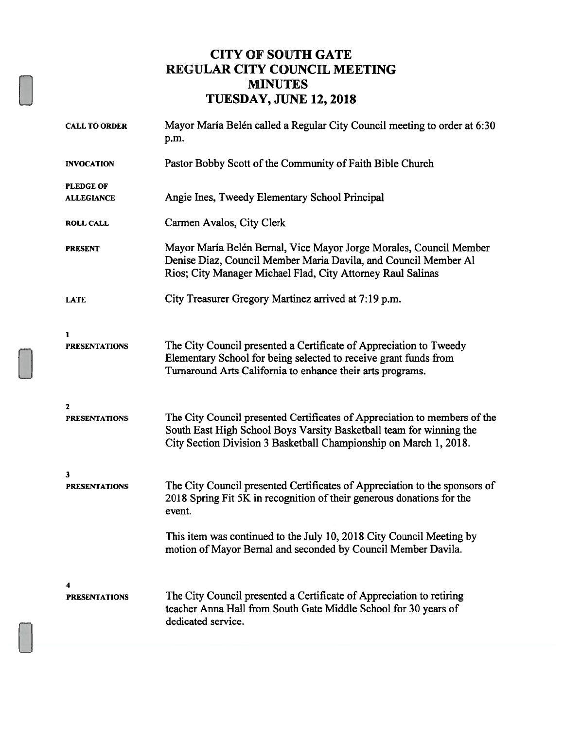### CITY OF SOUTH GATE REGULAR CITY COUNCIL MEETING MINUTES TUESDAY, JUNE 12, 2018

| <b>CALL TO ORDER</b>                  | Mayor María Belén called a Regular City Council meeting to order at 6:30<br>p.m.                                                                                                                                      |  |
|---------------------------------------|-----------------------------------------------------------------------------------------------------------------------------------------------------------------------------------------------------------------------|--|
| <b>INVOCATION</b>                     | Pastor Bobby Scott of the Community of Faith Bible Church                                                                                                                                                             |  |
| <b>PLEDGE OF</b><br><b>ALLEGIANCE</b> | Angie Ines, Tweedy Elementary School Principal                                                                                                                                                                        |  |
| <b>ROLL CALL</b>                      | Carmen Avalos, City Clerk                                                                                                                                                                                             |  |
| <b>PRESENT</b>                        | Mayor María Belén Bernal, Vice Mayor Jorge Morales, Council Member<br>Denise Diaz, Council Member Maria Davila, and Council Member Al<br>Rios; City Manager Michael Flad, City Attorney Raul Salinas                  |  |
| <b>LATE</b>                           | City Treasurer Gregory Martinez arrived at 7:19 p.m.                                                                                                                                                                  |  |
| 1<br><b>PRESENTATIONS</b>             | The City Council presented a Certificate of Appreciation to Tweedy<br>Elementary School for being selected to receive grant funds from<br>Turnaround Arts California to enhance their arts programs.                  |  |
| 2<br><b>PRESENTATIONS</b>             | The City Council presented Certificates of Appreciation to members of the<br>South East High School Boys Varsity Basketball team for winning the<br>City Section Division 3 Basketball Championship on March 1, 2018. |  |
| 3<br><b>PRESENTATIONS</b>             | The City Council presented Certificates of Appreciation to the sponsors of<br>2018 Spring Fit 5K in recognition of their generous donations for the<br>event.                                                         |  |
|                                       | This item was continued to the July 10, 2018 City Council Meeting by<br>motion of Mayor Bernal and seconded by Council Member Davila.                                                                                 |  |
| <b>PRESENTATIONS</b>                  | The City Council presented a Certificate of Appreciation to retiring<br>teacher Anna Hall from South Gate Middle School for 30 years of<br>dedicated service.                                                         |  |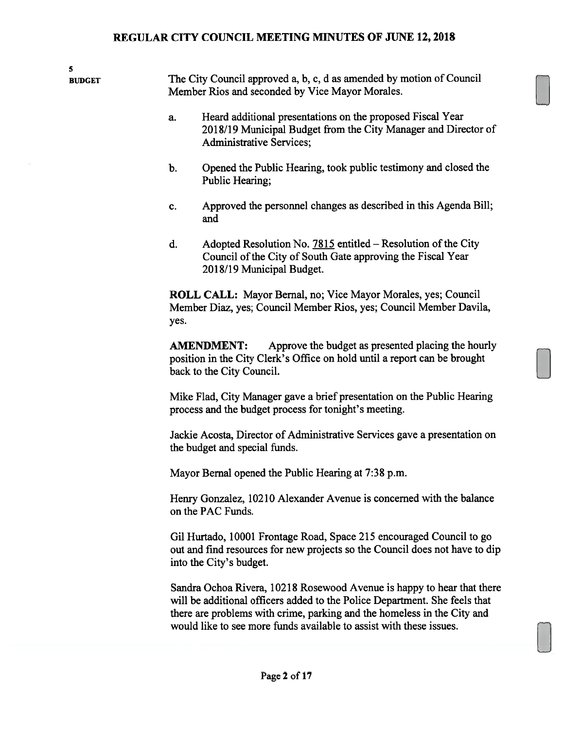5

BUDGET The City Council approved a, b, c, d as amended by motion of Council Member Rios and seconded by Vice Mayor Morales.

- a. Heard additional presentations on the proposed Fiscal Year 2018/19 Municipal Budget from the City Manager and Director of Administrative Services;
- b. Opened the Public Hearing, took public testimony and closed the Public Hearing;
- c. Approved the personnel changes as described in this Agenda Bill; and
- d. Adopted Resolution No. 7815 entitled Resolution of the City Council of the City of South Gate approving the Fiscal Year 2018/19 Municipal Budget.

ROLL CALL: Mayor Bernal, no; Vice Mayor Morales, yes; Council Member Diaz, yes; Council Member Rios, yes; Council Member Davila, yes.

AMENDMENT: Approve the budget as presented placing the hourly position in the City Clerk's Office on hold until a report can be brought back to the City Council.

Mike Flad, City Manager gave a brief presentation on the Public Hearing process and the budget process for tonight's meeting.

Jackie Acosta, Director of Administrative Services gave a presentation on the budget and special funds.

Mayor Bernal opened the Public Hearing at 7:38 p.m.

Henry Gonzalez, 10210 Alexander Avenue is concerned with the balance on the PAC Funds.

Gil Hurtado, 10001 Frontage Road, Space 215 encouraged Council to go out and find resources for new projects so the Council does not have to dip into the City's budget.

Sandra Ochoa Rivera, 10218 Rosewood Avenue is happy to hear that there will be additional officers added to the Police Department. She feels that there are problems with crime, parking and the homeless in the City and would like to see more funds available to assist with these issues.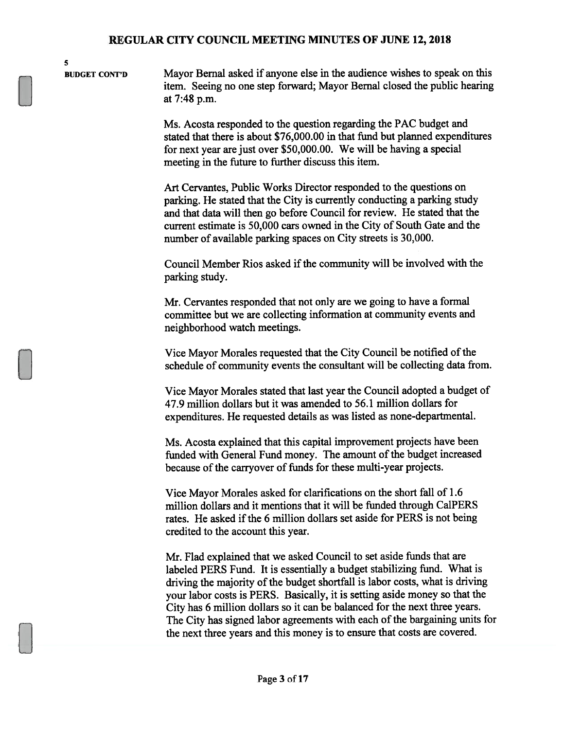5

BUDGET CONT'D Mayor Bernal asked if anyone else in the audience wishes to speak on this item. Seeing no one step forward; Mayor Bemal closed the public hearing at 7:48 p.m.

> Ms. Acosta responded to the question regarding the PAC budget and stated that there is about \$76,000.00 in that fund but planned expenditures for next year are just over \$50,000.00. We will be having a special meeting in the future to further discuss this item.

Art Cervantes, Public Works Director responded to the questions on parking. He stated that the City is currently conducting a parking study and that data will then go before Council for review. He stated that the current estimate is 50,000 cars owned in the City of South Gate and the number of available parking spaces on City streets is 30,000.

Council Member Rios asked if the community will be involved with the parking study.

Mr. Cervantes responded that not only are we going to have a formal committee but we are collecting information at community events and neighborhood watch meetings.

Vice Mayor Morales requested that the City Council be notified of the schedule of community events the consultant will be collecting data from.

Vice Mayor Morales stated that last year the Council adopted a budget of 47.9 million dollars but it was amended to 56.1 million dollars for expenditures. He requested details as was listed as none-departmental.

Ms. Acosta explained that this capital improvement projects have been funded with General Fund money. The amount of the budget increased because of the carryover of funds for these multi-year projects.

Vice Mayor Morales asked for clarifications on the short fall of 1.6 million dollars and it mentions that it will be funded through Ca1PERS rates. He asked if the 6 million dollars set aside for PERS is not being credited to the account this year.

Mr. Flad explained that we asked Council to set aside funds that are labeled PERS Fund. It is essentially a budget stabilizing fund. What is driving the majority of the budget shortfall is labor costs, what is driving your labor costs is PERS. Basically, it is setting aside money so that the City has 6 million dollars so it can be balanced for the next three years. The City has signed labor agreements with each of the bargaining units for the next three years and this money is to ensure that costs are covered.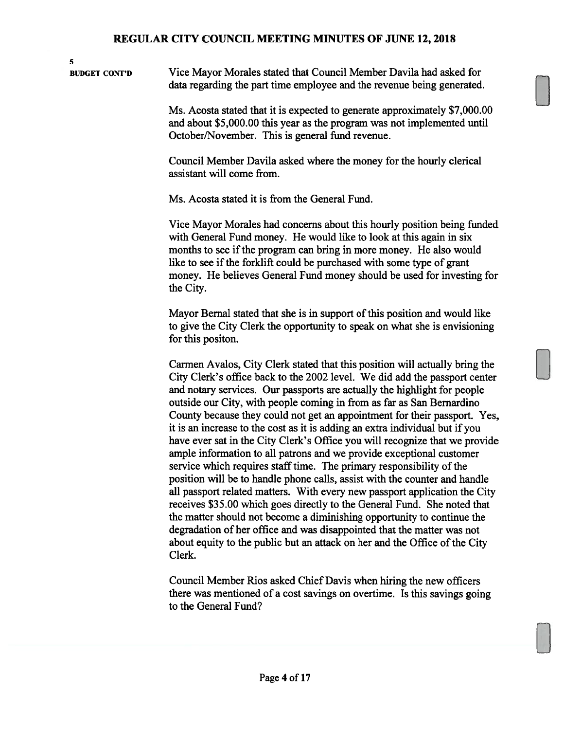BUDGET CON'r'D Vice Mayor Morales stated that Council Member Davila had asked for data regarding the part time employee and the revenue being generated.

5

Ms. Acosta stated that it is expected to generate approximately \$7,000.00 and about \$5,000.00 this year as the program was not implemented until October/November. This is general fund revenue.

Council Member Davila asked where the money for the hourly clerical assistant will come from.

Ms. Acosta stated it is from the General Fund.

Vice Mayor Morales had concerns about this hourly position being funded with General Fund money. He would like to look at this again in six months to see if the program can bring in more money. He also would like to see if the forklift could be purchased with some type of grant money. He believes General Fund money should be used for investing for the City.

Mayor Bernal stated that she is in support of this position and would like to give the City Clerk the opportunity to speak on what she is envisioning for this positon.

Carmen Avalos, City Clerk stated that this position will actually bring the City Clerk's office back to the 2002 level. We did add the passport center and notary services. Our passports are actually the highlight for people outside our City, with people coming in from as far as San Bernardino County because they could not get an appointment for their passport. Yes, it is an increase to the cost as it is adding an extra individual but if you have ever sat in the City Clerk's Office you will recognize that we provide ample information to all patrons and we provide exceptional customer service which requires staff time. The primary responsibility of the position will be to handle phone calls, assist with the counter and handle all passport related matters. With every new passport application the City receives \$35.00 which goes directly to the General Fund. She noted that the matter should not become a diminishing opportunity to continue the degradation of her office and was disappointed that the matter was not about equity to the public but an attack on her and the Office of the City Clerk.

Council Member Rios asked Chief Davis when hiring the new officers there was mentioned of a cost savings on overtime. Is this savings going to the General Fund?

LI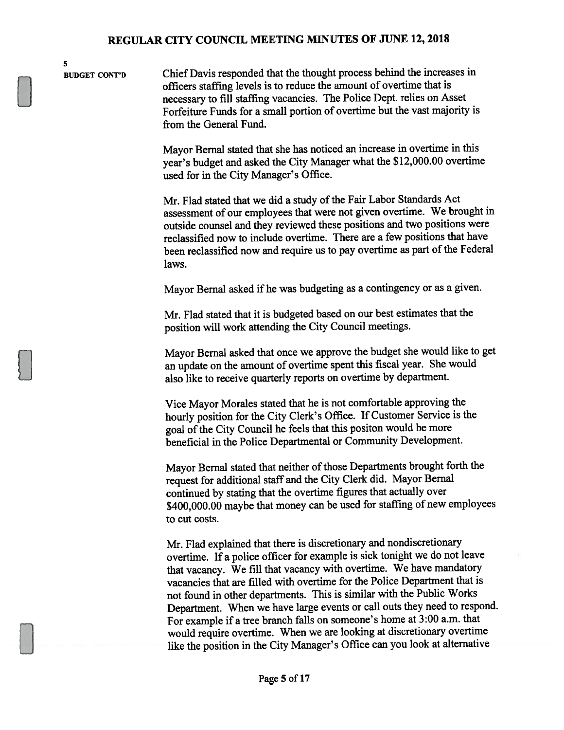BUDGET CONT'D Chief Davis responded that the thought process behind the increases in officers staffing levels is to reduce the amount of overtime that is necessary to fill staffing vacancies. The Police Dept. relies on Asset Forfeiture Funds for <sup>a</sup> small portion of overtime but the vast majority is from the General Fund.

> Mayor Bemal stated that she has noticed an increase in overtime in this year's budget and asked the City Manager what the \$12,000.00 overtime used for in the City Manager's Office.

Mr. Flad stated that we did a study of the Fair Labor Standards Act assessment of our employees that were not <sup>g</sup>iven overtime. We brought in outside counsel and they reviewed these positions and two positions were reclassified now to include overtime. There are <sup>a</sup> few positions that have been reclassified now and require us to pay overtime as part of the Federal laws.

Mayor Bernal asked if he was budgeting as <sup>a</sup> contingency or as <sup>a</sup> <sup>g</sup>iven.

Mr. Flad stated that it is budgeted based on our best estimates that the position will work attending the City Council meetings.

Mayor Bernal asked that once we approve the budget she would like to ge<sup>t</sup> an update on the amount of overtime spen<sup>t</sup> this fiscal year. She would also like to receive quarterly reports on overtime by department.

Vice Mayor Morales stated that he is not comfortable approving the hourly position for the City Clerk's Office. If Customer Service is the goal of the City Council he feels that this positon would be more beneficial in the Police Departmental or Community Development.

Mayor Bernal stated that neither of those Departments brought forth the reques<sup>t</sup> for additional staff and the City Clerk did. Mayor Bernal continued by stating that the overtime figures that actually over \$400,000.00 maybe that money can be used for staffing of new employees to cut costs.

Mr. Flad explained that there is discretionary and nondiscretionary overtime. If <sup>a</sup> police officer for example is sick tonight we do not leave that vacancy. We fill that vacancy with overtime. We have mandatory vacancies that are filled with overtime for the Police Department that is not found in other departments. This is similar with the Public Works Department. When we have large events or call outs they need to respond. For example if <sup>a</sup> tree branch falls on someone's home at 3:00 a.m. that would require overtime. When we are looking at discretionary overtime like the position in the City Manager's Office can you look at alternative

5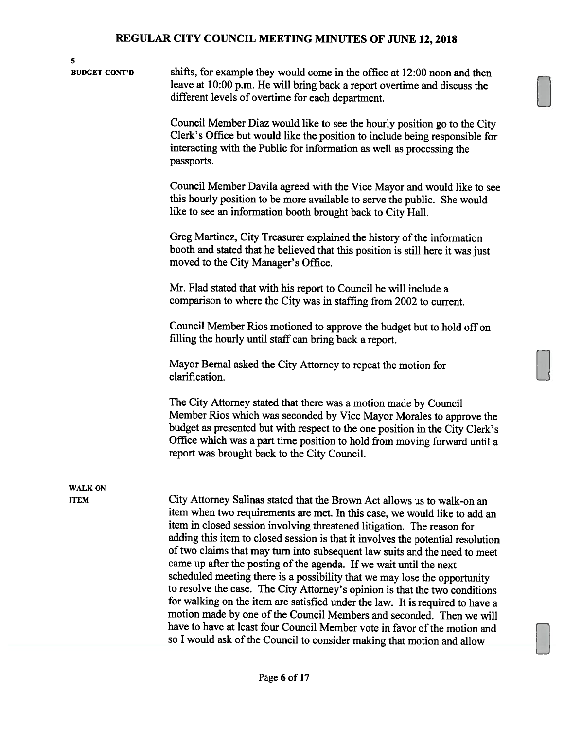| 5<br><b>BUDGET CONT'D</b>     | shifts, for example they would come in the office at 12:00 noon and then<br>leave at 10:00 p.m. He will bring back a report overtime and discuss the<br>different levels of overtime for each department.<br>Council Member Diaz would like to see the hourly position go to the City<br>Clerk's Office but would like the position to include being responsible for<br>interacting with the Public for information as well as processing the<br>passports.<br>Council Member Davila agreed with the Vice Mayor and would like to see<br>this hourly position to be more available to serve the public. She would<br>like to see an information booth brought back to City Hall.<br>Greg Martinez, City Treasurer explained the history of the information<br>booth and stated that he believed that this position is still here it was just<br>moved to the City Manager's Office.<br>Mr. Flad stated that with his report to Council he will include a<br>comparison to where the City was in staffing from 2002 to current. |  |
|-------------------------------|--------------------------------------------------------------------------------------------------------------------------------------------------------------------------------------------------------------------------------------------------------------------------------------------------------------------------------------------------------------------------------------------------------------------------------------------------------------------------------------------------------------------------------------------------------------------------------------------------------------------------------------------------------------------------------------------------------------------------------------------------------------------------------------------------------------------------------------------------------------------------------------------------------------------------------------------------------------------------------------------------------------------------------|--|
|                               | Council Member Rios motioned to approve the budget but to hold off on<br>filling the hourly until staff can bring back a report.<br>Mayor Bernal asked the City Attorney to repeat the motion for<br>clarification.<br>The City Attorney stated that there was a motion made by Council<br>Member Rios which was seconded by Vice Mayor Morales to approve the                                                                                                                                                                                                                                                                                                                                                                                                                                                                                                                                                                                                                                                                 |  |
|                               | budget as presented but with respect to the one position in the City Clerk's<br>Office which was a part time position to hold from moving forward until a<br>report was brought back to the City Council.                                                                                                                                                                                                                                                                                                                                                                                                                                                                                                                                                                                                                                                                                                                                                                                                                      |  |
| <b>WALK-ON</b><br><b>ITEM</b> | City Attorney Salinas stated that the Brown Act allows us to walk-on an<br>item when two requirements are met. In this case, we would like to add an<br>item in closed session involving threatened litigation. The reason for<br>adding this item to closed session is that it involves the potential resolution<br>of two claims that may turn into subsequent law suits and the need to meet<br>came up after the posting of the agenda. If we wait until the next<br>scheduled meeting there is a possibility that we may lose the opportunity<br>to resolve the case. The City Attorney's opinion is that the two conditions<br>for walking on the item are satisfied under the law. It is required to have a<br>motion made by one of the Council Members and seconded. Then we will<br>have to have at least four Council Member vote in favor of the motion and<br>so I would ask of the Council to consider making that motion and allow                                                                              |  |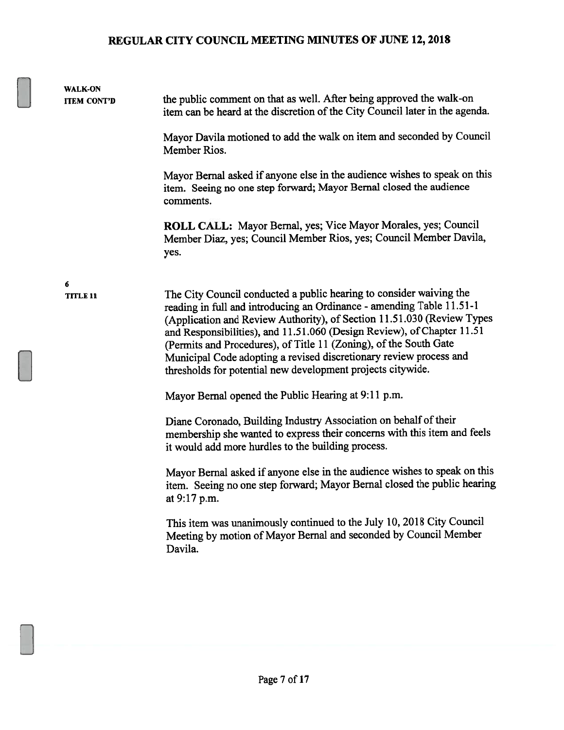| <b>WALK-ON</b><br><b>ITEM CONT'D</b> | the public comment on that as well. After being approved the walk-on<br>item can be heard at the discretion of the City Council later in the agenda.                                                                                                                                                                                                                                                                                                                                                       |
|--------------------------------------|------------------------------------------------------------------------------------------------------------------------------------------------------------------------------------------------------------------------------------------------------------------------------------------------------------------------------------------------------------------------------------------------------------------------------------------------------------------------------------------------------------|
|                                      | Mayor Davila motioned to add the walk on item and seconded by Council<br>Member Rios.                                                                                                                                                                                                                                                                                                                                                                                                                      |
|                                      | Mayor Bernal asked if anyone else in the audience wishes to speak on this<br>item. Seeing no one step forward; Mayor Bernal closed the audience<br>comments.                                                                                                                                                                                                                                                                                                                                               |
|                                      | ROLL CALL: Mayor Bernal, yes; Vice Mayor Morales, yes; Council<br>Member Diaz, yes; Council Member Rios, yes; Council Member Davila,<br>yes.                                                                                                                                                                                                                                                                                                                                                               |
| 6                                    |                                                                                                                                                                                                                                                                                                                                                                                                                                                                                                            |
| <b>TITLE 11</b>                      | The City Council conducted a public hearing to consider waiving the<br>reading in full and introducing an Ordinance - amending Table 11.51-1<br>(Application and Review Authority), of Section 11.51.030 (Review Types<br>and Responsibilities), and 11.51.060 (Design Review), of Chapter 11.51<br>(Permits and Procedures), of Title 11 (Zoning), of the South Gate<br>Municipal Code adopting a revised discretionary review process and<br>thresholds for potential new development projects citywide. |
|                                      | Mayor Bernal opened the Public Hearing at 9:11 p.m.                                                                                                                                                                                                                                                                                                                                                                                                                                                        |
|                                      | Diane Coronado, Building Industry Association on behalf of their<br>membership she wanted to express their concerns with this item and feels<br>it would add more hurdles to the building process.                                                                                                                                                                                                                                                                                                         |
|                                      | Mayor Bernal asked if anyone else in the audience wishes to speak on this<br>item. Seeing no one step forward; Mayor Bernal closed the public hearing<br>at 9:17 p.m.                                                                                                                                                                                                                                                                                                                                      |
|                                      | This item was unanimously continued to the July 10, 2018 City Council<br>Meeting by motion of Mayor Bernal and seconded by Council Member<br>Davila.                                                                                                                                                                                                                                                                                                                                                       |
|                                      |                                                                                                                                                                                                                                                                                                                                                                                                                                                                                                            |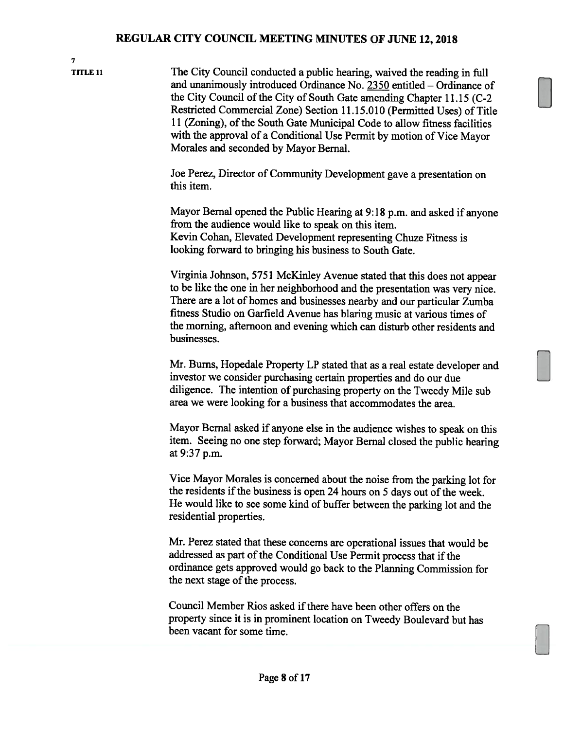7

TITLE 11 The City Council conducted a public hearing, waived the reading in full and unanimously introduced Ordinance No. 2350 entitled — Ordinance of the City Council of the City of South Gate amending Chapter 11.15 (C-2 Restricted Commercial Zone) Section 11.15.010 (Permitted Uses) of Title <sup>11</sup> (Zoning), of the South Gate Municipal Code to allow fitness facilities with the approval of <sup>a</sup> Conditional Use Permit by motion of Vice Mayor Morales and seconded by Mayor Bemal.

> Joe Perez, Director of Community Development gave <sup>a</sup> presentation on this item.

Mayor Bernal opened the Public Hearing at 9:18 p.m. and asked if anyone from the audience would like to speak on this item. Kevin Cohan, Elevated Development representing Chuze Fitness is looking forward to bringing his business to South Gate.

Virginia Johnson, <sup>5751</sup> McKinley Avenue stated that this does not appear to be like the one in her neighborhood and the presentation was very nice. There are <sup>a</sup> lot of homes and businesses nearby and our particular Zumba fitness Studio on Garfield Avenue has blaring music at various times of the morning, afternoon and evening which can disturb other residents and businesses.

Mr. Bums, Hopedale Property LP stated that as <sup>a</sup> real estate developer and investor we consider purchasing certain properties and do our due diligence. The intention of purchasing property on the Tweedy Mile sub area we were looking for <sup>a</sup> business that accommodates the area.

Mayor Bernal asked if anyone else in the audience wishes to speak on this item. Seeing no one step forward; Mayor Bernal closed the public hearing at 9:37 p.m.

Vice Mayor Morales is concerned about the noise from the parking lot for the residents if the business is open <sup>24</sup> hours on <sup>5</sup> days out of the week. He would like to see some kind of buffer between the parking lot and the residential properties.

Mr. Perez stated that these concerns are operational issues that would be addressed as part of the Conditional Use Permit process that if the ordinance gets approved would go back to the Planning Commission for the next stage of the process.

Council Member Rios asked if there have been other offers on the property since it is in prominent location on Tweedy Boulevard but has been vacant for some time.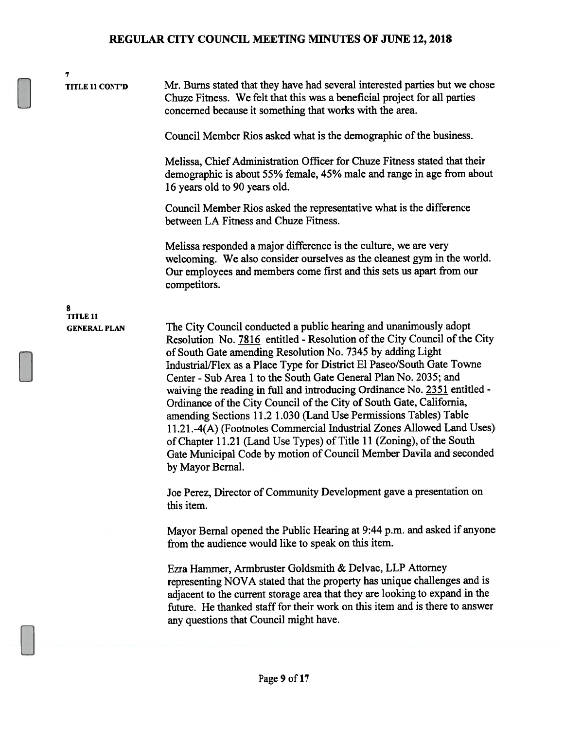TITLE <sup>11</sup> CONT'D Mr. Burns stated that they have had several interested parties but we chose Chuze Fitness. We felt that this was a beneficial project for all parties concerned because it something that works with the area.

Council Member Rios asked what is the demographic of the business.

Melissa, Chief Administration Officer for Chuze Fitness stated that their demographic is about 55% female, 45% male and range in age from about 16 years old to 90 years old.

Council Member Rios asked the representative what is the difference between LA Fitness and Chuze Fitness.

Melissa responded a major difference is the culture, we are very welcoming. We also consider ourselves as the cleanest gym in the world. Our employees and members come first and this sets us apart from our competitors.

8 TITLE 11

7

GENERAL PLAN The City Council conducted a public hearing and unanimously adopt Resolution No. 7816 entitled - Resolution of the City Council of the City of South Gate amending Resolution No. 7345 by adding Light Industrial/Flex as a Place Type for District El Paseo/South Gate Towne Center - Sub Area <sup>1</sup> to the South Gate General Plan No. 2035; and waiving the reading in full and introducing Ordinance No. 2351 entitled - Ordinance of the City Council of the City of South Gate, California, amending Sections 11.2 1.030 (Land Use Permissions Tables) Table 11.21 .-4(A) (Footnotes Commercial Industrial Zones Allowed Land Uses) of Chapter 11.21 (Land Use Types) of Title 11 (Zoning), of the South Gate Municipal Code by motion of Council Member Davila and seconded by Mayor Bernal.

> Joe Perez, Director of Community Development gave a presentation on this item.

Mayor Bernal opened the Public Hearing at 9:44 p.m. and asked if anyone from the audience would like to speak on this item.

Ezra Hammer, Armbruster Goldsmith & Delvac, LLP Attorney representing NOVA stated that the property has unique challenges and is adjacent to the current storage area that they are looking to expand in the future. He thanked staff for their work on this item and is there to answer any questions that Council might have.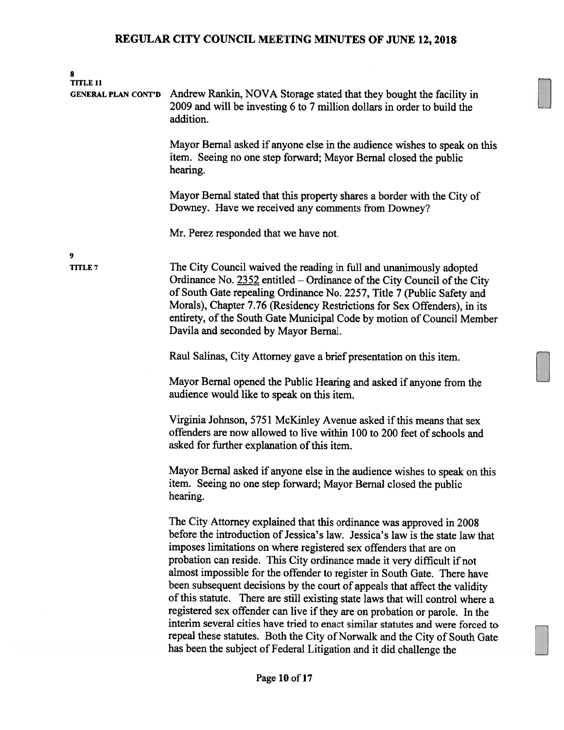| 8<br><b>TITLE 11</b><br><b>GENERAL PLAN CONT'D</b> | Andrew Rankin, NOVA Storage stated that they bought the facility in<br>2009 and will be investing 6 to 7 million dollars in order to build the<br>addition.                                                                                                                                                                                                                                                                                                                                                                                                                                                                                                                                                                                                                                                                                                             |
|----------------------------------------------------|-------------------------------------------------------------------------------------------------------------------------------------------------------------------------------------------------------------------------------------------------------------------------------------------------------------------------------------------------------------------------------------------------------------------------------------------------------------------------------------------------------------------------------------------------------------------------------------------------------------------------------------------------------------------------------------------------------------------------------------------------------------------------------------------------------------------------------------------------------------------------|
|                                                    | Mayor Bernal asked if anyone else in the audience wishes to speak on this<br>item. Seeing no one step forward; Mayor Bernal closed the public<br>hearing.                                                                                                                                                                                                                                                                                                                                                                                                                                                                                                                                                                                                                                                                                                               |
|                                                    | Mayor Bernal stated that this property shares a border with the City of<br>Downey. Have we received any comments from Downey?                                                                                                                                                                                                                                                                                                                                                                                                                                                                                                                                                                                                                                                                                                                                           |
|                                                    | Mr. Perez responded that we have not.                                                                                                                                                                                                                                                                                                                                                                                                                                                                                                                                                                                                                                                                                                                                                                                                                                   |
| 9<br>TITLE 7                                       | The City Council waived the reading in full and unanimously adopted<br>Ordinance No. 2352 entitled - Ordinance of the City Council of the City<br>of South Gate repealing Ordinance No. 2257, Title 7 (Public Safety and<br>Morals), Chapter 7.76 (Residency Restrictions for Sex Offenders), in its<br>entirety, of the South Gate Municipal Code by motion of Council Member<br>Davila and seconded by Mayor Bernal.                                                                                                                                                                                                                                                                                                                                                                                                                                                  |
|                                                    | Raul Salinas, City Attorney gave a brief presentation on this item.                                                                                                                                                                                                                                                                                                                                                                                                                                                                                                                                                                                                                                                                                                                                                                                                     |
|                                                    | Mayor Bernal opened the Public Hearing and asked if anyone from the<br>audience would like to speak on this item.                                                                                                                                                                                                                                                                                                                                                                                                                                                                                                                                                                                                                                                                                                                                                       |
|                                                    | Virginia Johnson, 5751 McKinley Avenue asked if this means that sex<br>offenders are now allowed to live within 100 to 200 feet of schools and<br>asked for further explanation of this item.                                                                                                                                                                                                                                                                                                                                                                                                                                                                                                                                                                                                                                                                           |
|                                                    | Mayor Bernal asked if anyone else in the audience wishes to speak on this<br>item. Seeing no one step forward; Mayor Bernal closed the public<br>hearing.                                                                                                                                                                                                                                                                                                                                                                                                                                                                                                                                                                                                                                                                                                               |
|                                                    | The City Attorney explained that this ordinance was approved in 2008<br>before the introduction of Jessica's law. Jessica's law is the state law that<br>imposes limitations on where registered sex offenders that are on<br>probation can reside. This City ordinance made it very difficult if not<br>almost impossible for the offender to register in South Gate. There have<br>been subsequent decisions by the court of appeals that affect the validity<br>of this statute. There are still existing state laws that will control where a<br>registered sex offender can live if they are on probation or parole. In the<br>interim several cities have tried to enact similar statutes and were forced to<br>repeal these statutes. Both the City of Norwalk and the City of South Gate<br>has been the subject of Federal Litigation and it did challenge the |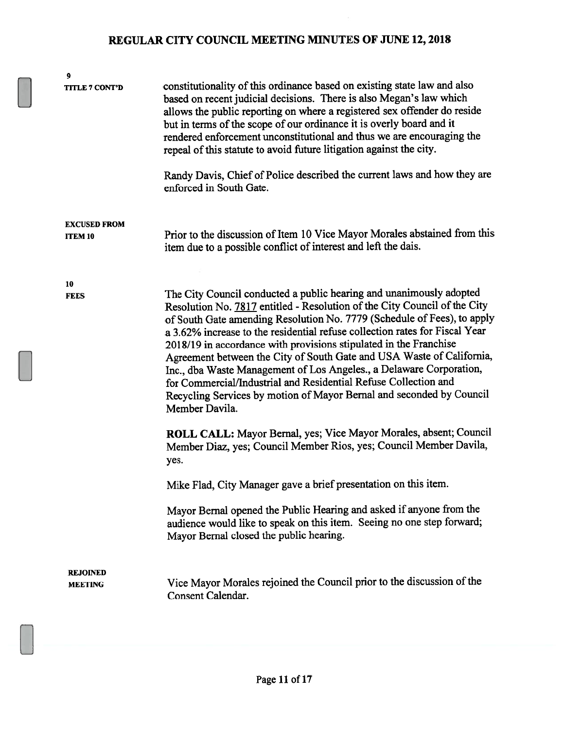| 9                                     |                                                                                                                                                                                                                                                                                                                                                                                                                                                                                                                                                                                                                                                                                              |
|---------------------------------------|----------------------------------------------------------------------------------------------------------------------------------------------------------------------------------------------------------------------------------------------------------------------------------------------------------------------------------------------------------------------------------------------------------------------------------------------------------------------------------------------------------------------------------------------------------------------------------------------------------------------------------------------------------------------------------------------|
| TITLE 7 CONT'D                        | constitutionality of this ordinance based on existing state law and also<br>based on recent judicial decisions. There is also Megan's law which<br>allows the public reporting on where a registered sex offender do reside<br>but in terms of the scope of our ordinance it is overly board and it<br>rendered enforcement unconstitutional and thus we are encouraging the<br>repeal of this statute to avoid future litigation against the city.                                                                                                                                                                                                                                          |
|                                       | Randy Davis, Chief of Police described the current laws and how they are<br>enforced in South Gate.                                                                                                                                                                                                                                                                                                                                                                                                                                                                                                                                                                                          |
| <b>EXCUSED FROM</b><br><b>ITEM 10</b> | Prior to the discussion of Item 10 Vice Mayor Morales abstained from this<br>item due to a possible conflict of interest and left the dais.                                                                                                                                                                                                                                                                                                                                                                                                                                                                                                                                                  |
|                                       |                                                                                                                                                                                                                                                                                                                                                                                                                                                                                                                                                                                                                                                                                              |
| 10                                    |                                                                                                                                                                                                                                                                                                                                                                                                                                                                                                                                                                                                                                                                                              |
| <b>FEES</b>                           | The City Council conducted a public hearing and unanimously adopted<br>Resolution No. 7817 entitled - Resolution of the City Council of the City<br>of South Gate amending Resolution No. 7779 (Schedule of Fees), to apply<br>a 3.62% increase to the residential refuse collection rates for Fiscal Year<br>2018/19 in accordance with provisions stipulated in the Franchise<br>Agreement between the City of South Gate and USA Waste of California,<br>Inc., dba Waste Management of Los Angeles., a Delaware Corporation,<br>for Commercial/Industrial and Residential Refuse Collection and<br>Recycling Services by motion of Mayor Bernal and seconded by Council<br>Member Davila. |
|                                       | ROLL CALL: Mayor Bernal, yes; Vice Mayor Morales, absent; Council<br>Member Diaz, yes; Council Member Rios, yes; Council Member Davila,<br>yes.                                                                                                                                                                                                                                                                                                                                                                                                                                                                                                                                              |
|                                       | Mike Flad, City Manager gave a brief presentation on this item.                                                                                                                                                                                                                                                                                                                                                                                                                                                                                                                                                                                                                              |
|                                       | Mayor Bernal opened the Public Hearing and asked if anyone from the<br>audience would like to speak on this item. Seeing no one step forward;<br>Mayor Bernal closed the public hearing.                                                                                                                                                                                                                                                                                                                                                                                                                                                                                                     |
| <b>REJOINED</b><br><b>MEETING</b>     | Vice Mayor Morales rejoined the Council prior to the discussion of the<br>Consent Calendar.                                                                                                                                                                                                                                                                                                                                                                                                                                                                                                                                                                                                  |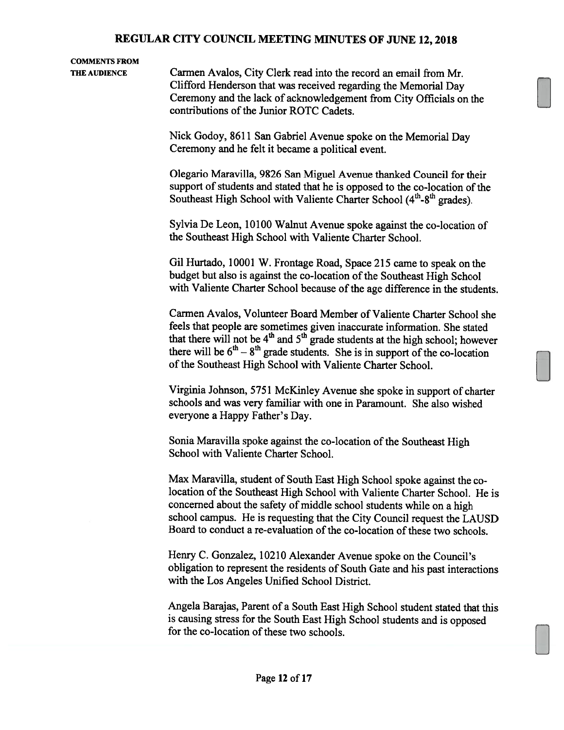#### COMMENTS FROM

THE AUDIENCE Carmen Avalos, City Clerk read into the record an email from Mr. Clifford Henderson that was received regarding the Memorial Day Ceremony and the lack of acknowledgement from City Officials on the contributions of the Junior ROTC Cadets.

> Nick Godoy, <sup>8611</sup> San Gabriel Avenue spoke on the Memorial Day Ceremony and he felt it became <sup>a</sup> political event.

Olegario Maravilla, 9826 San Miguel Avenue thanked Council for their support of students and stated that he is opposed to the co-location of the Nick Godoy, 8611 San Gabriel Avenue spoke on the Memo:<br>Ceremony and he felt it became a political event.<br>Olegario Maravilla, 9826 San Miguel Avenue thanked Cour<br>support of students and stated that he is opposed to the co-l Southeast High School with Valiente Charter School (4<sup>th</sup>-8<sup>th</sup> grades).

Sylvia De Leon, 10100 Walnut Avenue spoke against the co-location of the Southeast High School with Valiente Charter School.

Gil Hurtado, 10001 W. Frontage Road, Space <sup>215</sup> came to speak on the budget but also is against the co-location of the Southeast High School with Valiente Charter School because of the age difference in the students.

Carmen Avalos, Volunteer Board Member of Valiente Charter School she feels that people are sometimes given inaccurate information. She stated that there will not be  $4<sup>th</sup>$  and  $5<sup>th</sup>$  grade students at the high school; however there will be  $6<sup>th</sup> - 8<sup>th</sup>$  grade students. She is in support of the co-location of the Southeast High School with Valiente Charter School.

Virginia Johnson, <sup>5751</sup> McKinley Avenue she spoke in support of charter schools and was very familiar with one in Paramount. She also wished everyone <sup>a</sup> Happy Father's Day.

Sonia Maravilla spoke against the co-location of the Southeast High School with Valiente Charter School.

Max Maravilla, student of South East High School spoke against the colocation of the Southeast High School with Valiente Charter School. He is concerned about the safety of middle school students while on <sup>a</sup> high school campus. He is requesting that the City Council request the LAUSD Board to conduct a re-evaluation of the co-location of these two schools.

Henry C. Gonzalez, 10210 Alexander Avenue spoke on the Council's obligation to represent the residents of South Gate and his past interactions with the Los Angeles Unified School District.

Angela Barajas, Parent of <sup>a</sup> South East High School student stated that this is causing stress for the South East High School students and is opposed for the co-location of these two schools.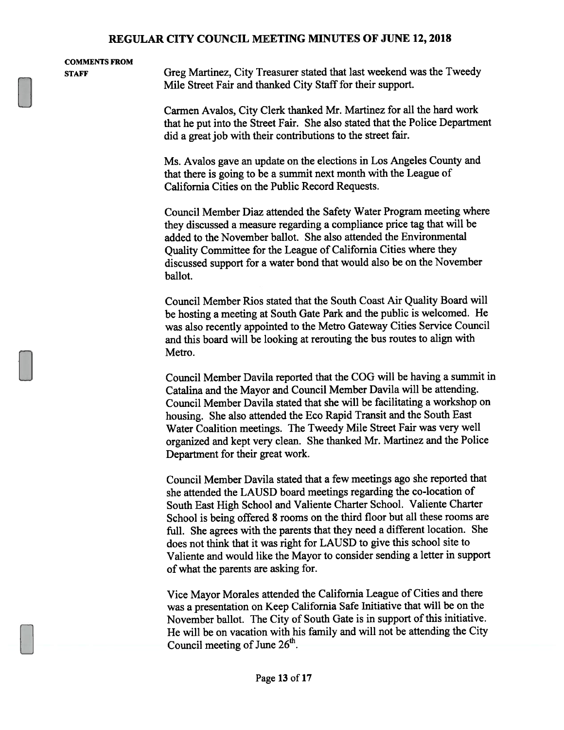| <b>COMMENTS FROM</b><br><b>STAFF</b> | Greg Martinez, City Treasurer stated that last weekend was the Tweedy<br>Mile Street Fair and thanked City Staff for their support. |  |
|--------------------------------------|-------------------------------------------------------------------------------------------------------------------------------------|--|
|                                      |                                                                                                                                     |  |

Carmen Avalos, City Clerk thanked Mr. Martinez for all the hard work that he pu<sup>t</sup> into the Street Fair. She also stated that the Police Department did <sup>a</sup> grea<sup>t</sup> job with their contributions to the street fair.

Ms. Avalos gave an update on the elections in Los Angeles County and that there is going to be <sup>a</sup> summit next month with the League of California Cities on the Public Record Requests.

Council Member Diaz attended the Safety Water Program meeting where they discussed <sup>a</sup> measure regarding <sup>a</sup> compliance price tag that will be added to the November ballot. She also attended the Environmental Quality Committee for the League of California Cities where they discussed suppor<sup>t</sup> for <sup>a</sup> water bond that would also be on the November ballot.

Council Member Rios stated that the South Coast Air Quality Board will be hosting <sup>a</sup> meeting at South Gate Park and the public is welcomed. He was also recently appointed to the Metro Gateway Cities Service Council and this board will be looking at rerouting the bus routes to align with Metro.

Council Member Davila reported that the COG will be having <sup>a</sup> summit in Catalina and the Mayor and Council Member Davila will be attending. Council Member Davila stated that she will be facilitating <sup>a</sup> workshop on housing. She also attended the Eco Rapid Transit and the South East Water Coalition meetings. The Tweedy Mile Street Fair was very well organized and kept very clean. She thanked Mr. Martinez and the Police Department for their grea<sup>t</sup> work.

Council Member Davila stated that <sup>a</sup> few meetings ago she reported that she attended the LAUSD board meetings regarding the co-location of South East High School and Valiente Charter School. Valiente Charter School is being offered <sup>8</sup> rooms on the third floor but all these rooms are full. She agrees with the parents that they need <sup>a</sup> different location. She does not think that it was right for LAUSD to <sup>g</sup>ive this school site to Valiente and would like the Mayor to consider sending <sup>a</sup> letter in suppor<sup>t</sup> of what the parents are asking for.

Vice Mayor Morales attended the California League of Cities and there was <sup>a</sup> presentation on Keep California Safe Initiative that will be on the November ballot. The City of South Gate is in suppor<sup>t</sup> of this initiative. He will be on vacation with his family and will not be attending the City Council meeting of June 26<sup>th</sup>.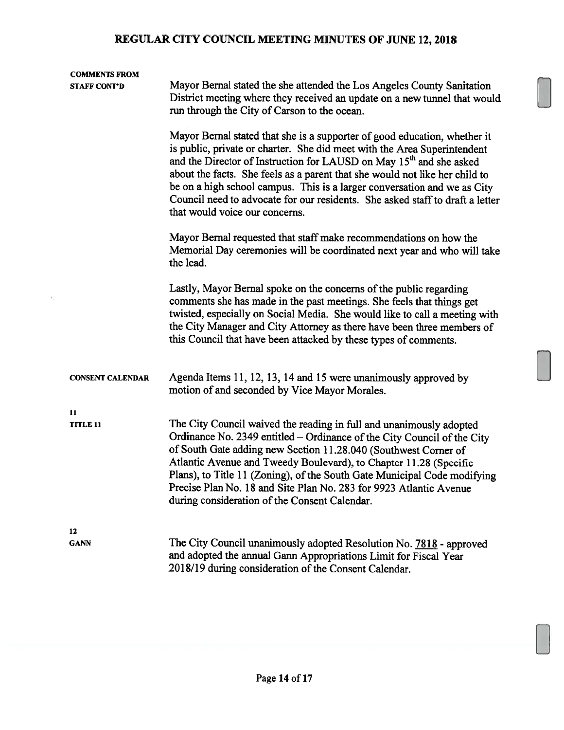| <b>COMMENTS FROM</b><br><b>STAFF CONT'D</b> | Mayor Bernal stated the she attended the Los Angeles County Sanitation<br>District meeting where they received an update on a new tunnel that would<br>run through the City of Carson to the ocean.                                                                                                                                                                                                                                                                                                                    |  |  |
|---------------------------------------------|------------------------------------------------------------------------------------------------------------------------------------------------------------------------------------------------------------------------------------------------------------------------------------------------------------------------------------------------------------------------------------------------------------------------------------------------------------------------------------------------------------------------|--|--|
|                                             | Mayor Bernal stated that she is a supporter of good education, whether it<br>is public, private or charter. She did meet with the Area Superintendent<br>and the Director of Instruction for LAUSD on May 15 <sup>th</sup> and she asked<br>about the facts. She feels as a parent that she would not like her child to<br>be on a high school campus. This is a larger conversation and we as City<br>Council need to advocate for our residents. She asked staff to draft a letter<br>that would voice our concerns. |  |  |
|                                             | Mayor Bernal requested that staff make recommendations on how the<br>Memorial Day ceremonies will be coordinated next year and who will take<br>the lead.                                                                                                                                                                                                                                                                                                                                                              |  |  |
|                                             | Lastly, Mayor Bernal spoke on the concerns of the public regarding<br>comments she has made in the past meetings. She feels that things get<br>twisted, especially on Social Media. She would like to call a meeting with<br>the City Manager and City Attorney as there have been three members of<br>this Council that have been attacked by these types of comments.                                                                                                                                                |  |  |
| <b>CONSENT CALENDAR</b>                     | Agenda Items 11, 12, 13, 14 and 15 were unanimously approved by<br>motion of and seconded by Vice Mayor Morales.                                                                                                                                                                                                                                                                                                                                                                                                       |  |  |
| 11<br><b>TITLE 11</b>                       | The City Council waived the reading in full and unanimously adopted<br>Ordinance No. 2349 entitled – Ordinance of the City Council of the City<br>of South Gate adding new Section 11.28.040 (Southwest Corner of<br>Atlantic Avenue and Tweedy Boulevard), to Chapter 11.28 (Specific<br>Plans), to Title 11 (Zoning), of the South Gate Municipal Code modifying<br>Precise Plan No. 18 and Site Plan No. 283 for 9923 Atlantic Avenue<br>during consideration of the Consent Calendar.                              |  |  |
| 12<br><b>GANN</b>                           | The City Council unanimously adopted Resolution No. 7818 - approved<br>and adopted the annual Gann Appropriations Limit for Fiscal Year<br>2018/19 during consideration of the Consent Calendar.                                                                                                                                                                                                                                                                                                                       |  |  |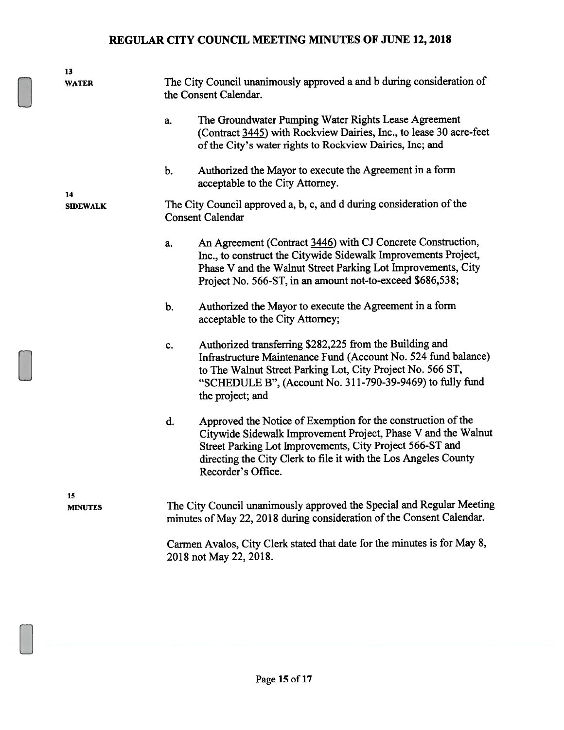|    | 13                   |                                                                                                 |                                                                                                                                                                                                                                                                                    |  |  |
|----|----------------------|-------------------------------------------------------------------------------------------------|------------------------------------------------------------------------------------------------------------------------------------------------------------------------------------------------------------------------------------------------------------------------------------|--|--|
|    | <b>WATER</b>         |                                                                                                 | The City Council unanimously approved a and b during consideration of<br>the Consent Calendar.                                                                                                                                                                                     |  |  |
|    |                      | a.                                                                                              | The Groundwater Pumping Water Rights Lease Agreement<br>(Contract 3445) with Rockview Dairies, Inc., to lease 30 acre-feet<br>of the City's water rights to Rockview Dairies, Inc; and                                                                                             |  |  |
| 14 |                      | b.                                                                                              | Authorized the Mayor to execute the Agreement in a form<br>acceptable to the City Attorney.                                                                                                                                                                                        |  |  |
|    | <b>SIDEWALK</b>      | The City Council approved a, b, c, and d during consideration of the<br><b>Consent Calendar</b> |                                                                                                                                                                                                                                                                                    |  |  |
|    |                      | a.                                                                                              | An Agreement (Contract 3446) with CJ Concrete Construction,<br>Inc., to construct the Citywide Sidewalk Improvements Project,<br>Phase V and the Walnut Street Parking Lot Improvements, City<br>Project No. 566-ST, in an amount not-to-exceed \$686,538;                         |  |  |
|    |                      | b.                                                                                              | Authorized the Mayor to execute the Agreement in a form<br>acceptable to the City Attorney;                                                                                                                                                                                        |  |  |
|    |                      | c.                                                                                              | Authorized transferring \$282,225 from the Building and<br>Infrastructure Maintenance Fund (Account No. 524 fund balance)<br>to The Walnut Street Parking Lot, City Project No. 566 ST,<br>"SCHEDULE B", (Account No. 311-790-39-9469) to fully fund<br>the project; and           |  |  |
|    |                      | d.                                                                                              | Approved the Notice of Exemption for the construction of the<br>Citywide Sidewalk Improvement Project, Phase V and the Walnut<br>Street Parking Lot Improvements, City Project 566-ST and<br>directing the City Clerk to file it with the Los Angeles County<br>Recorder's Office. |  |  |
|    | 15<br><b>MINUTES</b> |                                                                                                 | The City Council unanimously approved the Special and Regular Meeting<br>minutes of May 22, 2018 during consideration of the Consent Calendar.                                                                                                                                     |  |  |
|    |                      |                                                                                                 | Carmen Avalos, City Clerk stated that date for the minutes is for May 8,<br>2018 not May 22, 2018.                                                                                                                                                                                 |  |  |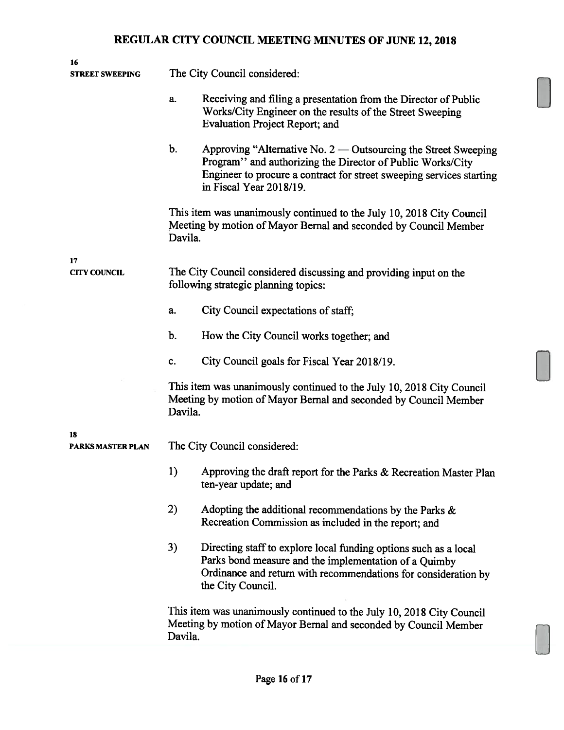| 16<br><b>STREET SWEEPING</b> | The City Council considered:                                                                                                                                                                                                          |  |  |
|------------------------------|---------------------------------------------------------------------------------------------------------------------------------------------------------------------------------------------------------------------------------------|--|--|
|                              | Receiving and filing a presentation from the Director of Public<br>a.<br>Works/City Engineer on the results of the Street Sweeping<br><b>Evaluation Project Report; and</b>                                                           |  |  |
|                              | b.<br>Approving "Alternative No. 2 — Outsourcing the Street Sweeping<br>Program" and authorizing the Director of Public Works/City<br>Engineer to procure a contract for street sweeping services starting<br>in Fiscal Year 2018/19. |  |  |
|                              | This item was unanimously continued to the July 10, 2018 City Council<br>Meeting by motion of Mayor Bernal and seconded by Council Member<br>Davila.                                                                                  |  |  |
| 17                           |                                                                                                                                                                                                                                       |  |  |
| <b>CITY COUNCIL</b>          | The City Council considered discussing and providing input on the<br>following strategic planning topics:                                                                                                                             |  |  |
|                              | City Council expectations of staff;<br>a.                                                                                                                                                                                             |  |  |
|                              | $\mathbf b$ .<br>How the City Council works together; and                                                                                                                                                                             |  |  |
|                              | City Council goals for Fiscal Year 2018/19.<br>C.                                                                                                                                                                                     |  |  |
|                              | This item was unanimously continued to the July 10, 2018 City Council<br>Meeting by motion of Mayor Bernal and seconded by Council Member<br>Davila.                                                                                  |  |  |
| 18<br>PARKS MASTER PLAN      | The City Council considered:                                                                                                                                                                                                          |  |  |
|                              | 1)<br>Approving the draft report for the Parks & Recreation Master Plan<br>ten-year update; and                                                                                                                                       |  |  |
|                              | 2)<br>Adopting the additional recommendations by the Parks &<br>Recreation Commission as included in the report; and                                                                                                                  |  |  |
|                              | 3)<br>Directing staff to explore local funding options such as a local<br>Parks bond measure and the implementation of a Quimby<br>Ordinance and return with recommendations for consideration by<br>the City Council.                |  |  |
|                              | This item was unanimously continued to the July 10, 2018 City Council<br>Meeting by motion of Mayor Bernal and seconded by Council Member<br>Davila.                                                                                  |  |  |